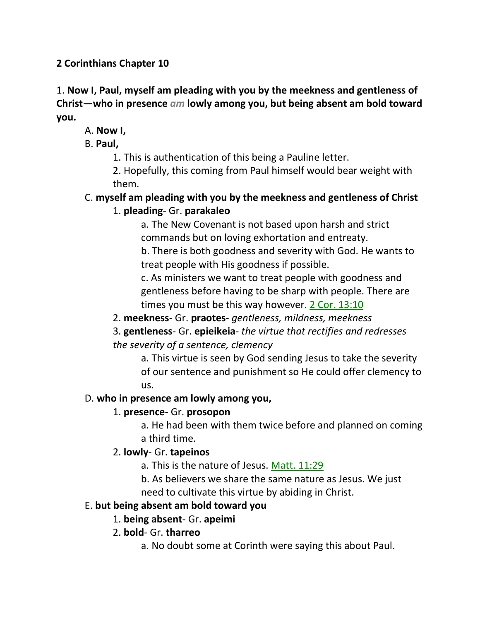## **2 Corinthians Chapter 10**

1. **Now I, Paul, myself am pleading with you by the meekness and gentleness of Christ—who in presence** *am* **lowly among you, but being absent am bold toward you.**

# A. **Now I,**

B. **Paul,**

1. This is authentication of this being a Pauline letter.

2. Hopefully, this coming from Paul himself would bear weight with them.

#### C. **myself am pleading with you by the meekness and gentleness of Christ** 1. **pleading**- Gr. **parakaleo**

a. The New Covenant is not based upon harsh and strict commands but on loving exhortation and entreaty.

b. There is both goodness and severity with God. He wants to treat people with His goodness if possible.

c. As ministers we want to treat people with goodness and gentleness before having to be sharp with people. There are times you must be this way however. 2 Cor. 13:10

2. **meekness**- Gr. **praotes**- *gentleness, mildness, meekness*

3. **gentleness**- Gr. **epieikeia**- *the virtue that rectifies and redresses the severity of a sentence, clemency*

a. This virtue is seen by God sending Jesus to take the severity of our sentence and punishment so He could offer clemency to us.

## D. **who in presence am lowly among you,**

## 1. **presence**- Gr. **prosopon**

a. He had been with them twice before and planned on coming a third time.

## 2. **lowly**- Gr. **tapeinos**

a. This is the nature of Jesus. Matt. 11:29

b. As believers we share the same nature as Jesus. We just need to cultivate this virtue by abiding in Christ.

## E. **but being absent am bold toward you**

# 1. **being absent**- Gr. **apeimi**

# 2. **bold**- Gr. **tharreo**

a. No doubt some at Corinth were saying this about Paul.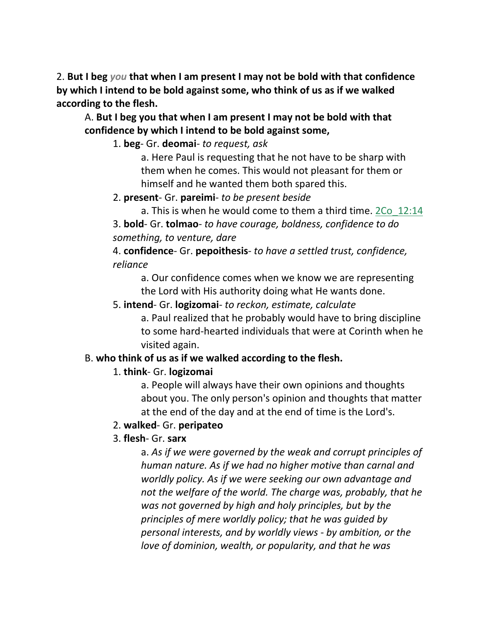2. **But I beg** *you* **that when I am present I may not be bold with that confidence by which I intend to be bold against some, who think of us as if we walked according to the flesh.** 

A. **But I beg you that when I am present I may not be bold with that confidence by which I intend to be bold against some,**

1. **beg**- Gr. **deomai**- *to request, ask*

a. Here Paul is requesting that he not have to be sharp with them when he comes. This would not pleasant for them or himself and he wanted them both spared this.

2. **present**- Gr. **pareimi**- *to be present beside*

a. This is when he would come to them a third time. 2Co\_12:14

3. **bold**- Gr. **tolmao**- *to have courage, boldness, confidence to do something, to venture, dare*

4. **confidence**- Gr. **pepoithesis**- *to have a settled trust, confidence, reliance*

a. Our confidence comes when we know we are representing the Lord with His authority doing what He wants done.

5. **intend**- Gr. **logizomai**- *to reckon, estimate, calculate*

a. Paul realized that he probably would have to bring discipline to some hard-hearted individuals that were at Corinth when he visited again.

## B. **who think of us as if we walked according to the flesh.**

#### 1. **think**- Gr. **logizomai**

a. People will always have their own opinions and thoughts about you. The only person's opinion and thoughts that matter at the end of the day and at the end of time is the Lord's.

#### 2. **walked**- Gr. **peripateo**

#### 3. **flesh**- Gr. **sarx**

a. *As if we were governed by the weak and corrupt principles of human nature. As if we had no higher motive than carnal and worldly policy. As if we were seeking our own advantage and not the welfare of the world. The charge was, probably, that he was not governed by high and holy principles, but by the principles of mere worldly policy; that he was guided by personal interests, and by worldly views - by ambition, or the love of dominion, wealth, or popularity, and that he was*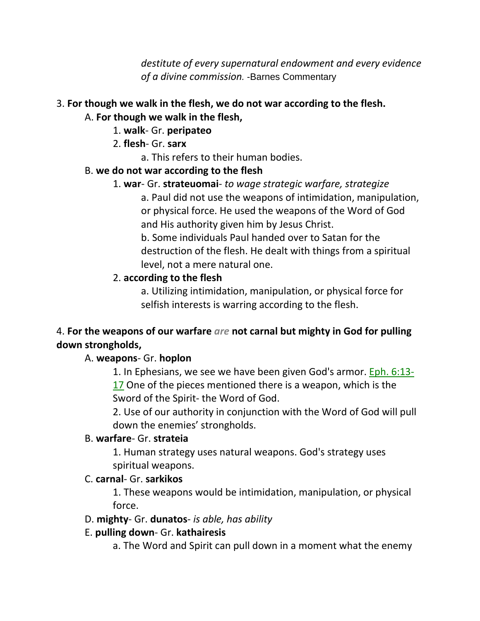*destitute of every supernatural endowment and every evidence of a divine commission.* -Barnes Commentary

# 3. **For though we walk in the flesh, we do not war according to the flesh.**

#### A. **For though we walk in the flesh,**

- 1. **walk** Gr. **peripateo**
- 2. **flesh** Gr. **sarx**
	- a. This refers to their human bodies.

#### B. **we do not war according to the flesh**

1. **war**- Gr. **strateuomai**- *to wage strategic warfare, strategize*

a. Paul did not use the weapons of intimidation, manipulation, or physical force. He used the weapons of the Word of God and His authority given him by Jesus Christ.

b. Some individuals Paul handed over to Satan for the destruction of the flesh. He dealt with things from a spiritual level, not a mere natural one.

# 2. **according to the flesh**

a. Utilizing intimidation, manipulation, or physical force for selfish interests is warring according to the flesh.

# 4. **For the weapons of our warfare** *are* **not carnal but mighty in God for pulling down strongholds,**

# A. **weapons**- Gr. **hoplon**

1. In Ephesians, we see we have been given God's armor. Eph. 6:13- 17 One of the pieces mentioned there is a weapon, which is the Sword of the Spirit- the Word of God.

2. Use of our authority in conjunction with the Word of God will pull down the enemies' strongholds.

## B. **warfare**- Gr. **strateia**

1. Human strategy uses natural weapons. God's strategy uses spiritual weapons.

## C. **carnal**- Gr. **sarkikos**

1. These weapons would be intimidation, manipulation, or physical force.

## D. **mighty**- Gr. **dunatos**- *is able, has ability*

## E. **pulling down**- Gr. **kathairesis**

a. The Word and Spirit can pull down in a moment what the enemy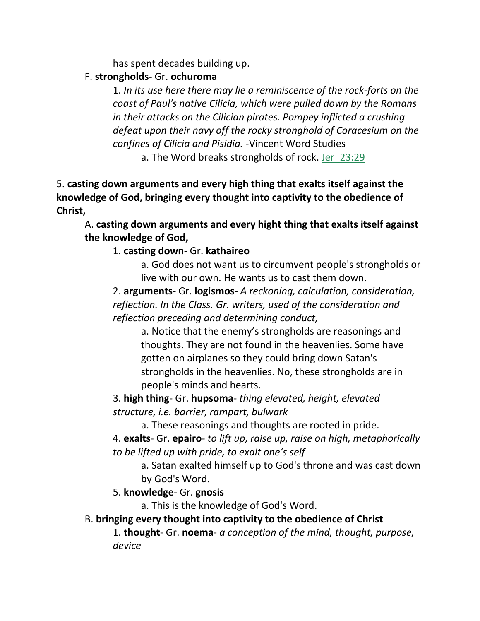has spent decades building up.

#### F. **strongholds-** Gr. **ochuroma**

1. *In its use here there may lie a reminiscence of the rock-forts on the coast of Paul's native Cilicia, which were pulled down by the Romans in their attacks on the Cilician pirates. Pompey inflicted a crushing defeat upon their navy off the rocky stronghold of Coracesium on the confines of Cilicia and Pisidia.* -Vincent Word Studies

a. The Word breaks strongholds of rock. Jer\_23:29

5. **casting down arguments and every high thing that exalts itself against the knowledge of God, bringing every thought into captivity to the obedience of Christ,** 

A. **casting down arguments and every hight thing that exalts itself against the knowledge of God,**

## 1. **casting down**- Gr. **kathaireo**

a. God does not want us to circumvent people's strongholds or live with our own. He wants us to cast them down.

2. **arguments**- Gr. **logismos**- *A reckoning, calculation, consideration, reflection. In the Class. Gr. writers, used of the consideration and reflection preceding and determining conduct,*

a. Notice that the enemy's strongholds are reasonings and thoughts. They are not found in the heavenlies. Some have gotten on airplanes so they could bring down Satan's strongholds in the heavenlies. No, these strongholds are in people's minds and hearts.

3. **high thing**- Gr. **hupsoma**- *thing elevated, height, elevated structure, i.e. barrier, rampart, bulwark*

a. These reasonings and thoughts are rooted in pride.

4. **exalts**- Gr. **epairo**- *to lift up, raise up, raise on high, metaphorically to be lifted up with pride, to exalt one's self*

a. Satan exalted himself up to God's throne and was cast down by God's Word.

5. **knowledge**- Gr. **gnosis**

a. This is the knowledge of God's Word.

## B. **bringing every thought into captivity to the obedience of Christ**

1. **thought**- Gr. **noema**- *a conception of the mind, thought, purpose, device*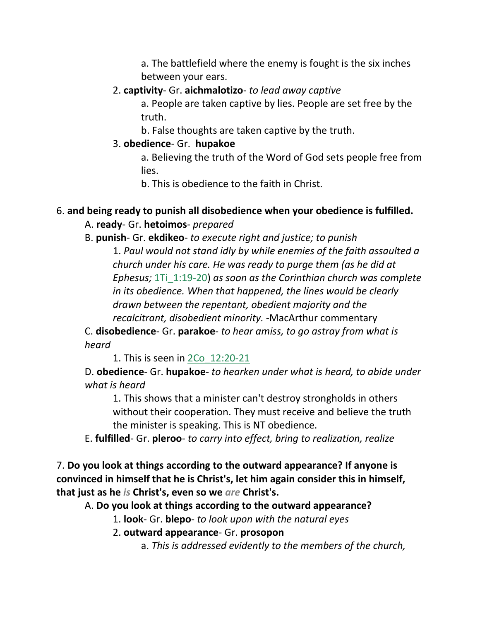a. The battlefield where the enemy is fought is the six inches between your ears.

#### 2. **captivity**- Gr. **aichmalotizo**- *to lead away captive*

a. People are taken captive by lies. People are set free by the truth.

b. False thoughts are taken captive by the truth.

## 3. **obedience**- Gr. **hupakoe**

a. Believing the truth of the Word of God sets people free from lies.

b. This is obedience to the faith in Christ.

## 6. **and being ready to punish all disobedience when your obedience is fulfilled.**

# A. **ready**- Gr. **hetoimos**- *prepared*

B. **punish**- Gr. **ekdikeo**- *to execute right and justice; to punish*

1. *Paul would not stand idly by while enemies of the faith assaulted a church under his care. He was ready to purge them (as he did at Ephesus;* 1Ti\_1:19-20) *as soon as the Corinthian church was complete in its obedience. When that happened, the lines would be clearly drawn between the repentant, obedient majority and the recalcitrant, disobedient minority.* -MacArthur commentary

C. **disobedience**- Gr. **parakoe**- *to hear amiss, to go astray from what is heard*

1. This is seen in 2Co\_12:20-21

D. **obedience**- Gr. **hupakoe**- *to hearken under what is heard, to abide under what is heard*

1. This shows that a minister can't destroy strongholds in others without their cooperation. They must receive and believe the truth the minister is speaking. This is NT obedience.

E. **fulfilled**- Gr. **pleroo**- *to carry into effect, bring to realization, realize*

7. **Do you look at things according to the outward appearance? If anyone is convinced in himself that he is Christ's, let him again consider this in himself, that just as he** *is* **Christ's, even so we** *are* **Christ's.** 

A. **Do you look at things according to the outward appearance?**

1. **look**- Gr. **blepo**- *to look upon with the natural eyes*

2. **outward appearance**- Gr. **prosopon**

a. *This is addressed evidently to the members of the church,*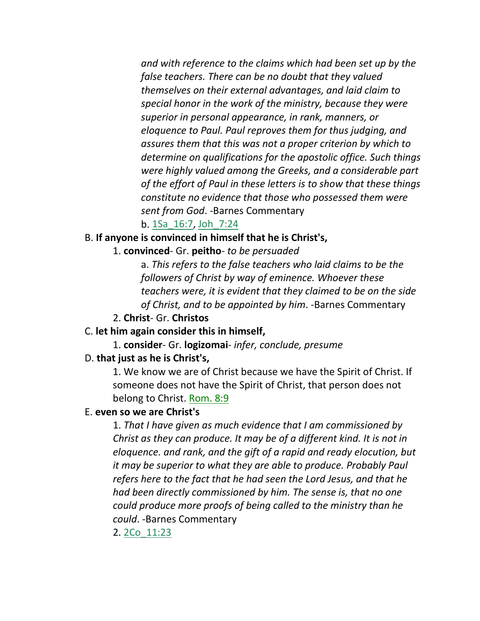*and with reference to the claims which had been set up by the false teachers. There can be no doubt that they valued themselves on their external advantages, and laid claim to special honor in the work of the ministry, because they were superior in personal appearance, in rank, manners, or eloquence to Paul. Paul reproves them for thus judging, and assures them that this was not a proper criterion by which to determine on qualifications for the apostolic office. Such things were highly valued among the Greeks, and a considerable part of the effort of Paul in these letters is to show that these things constitute no evidence that those who possessed them were sent from God*. -Barnes Commentary

#### b. 1Sa\_16:7, Joh\_7:24

#### B. **If anyone is convinced in himself that he is Christ's,**

1. **convinced**- Gr. **peitho**- *to be persuaded*

a. *This refers to the false teachers who laid claims to be the followers of Christ by way of eminence. Whoever these teachers were, it is evident that they claimed to be on the side of Christ, and to be appointed by him*. -Barnes Commentary

#### 2. **Christ**- Gr. **Christos**

#### C. **let him again consider this in himself,**

1. **consider**- Gr. **logizomai**- *infer, conclude, presume*

#### D. **that just as he is Christ's,**

1. We know we are of Christ because we have the Spirit of Christ. If someone does not have the Spirit of Christ, that person does not belong to Christ. Rom. 8:9

#### E. **even so we are Christ's**

1. *That I have given as much evidence that I am commissioned by Christ as they can produce. It may be of a different kind. It is not in eloquence. and rank, and the gift of a rapid and ready elocution, but it may be superior to what they are able to produce. Probably Paul refers here to the fact that he had seen the Lord Jesus, and that he had been directly commissioned by him. The sense is, that no one could produce more proofs of being called to the ministry than he could*. -Barnes Commentary

2. 2Co\_11:23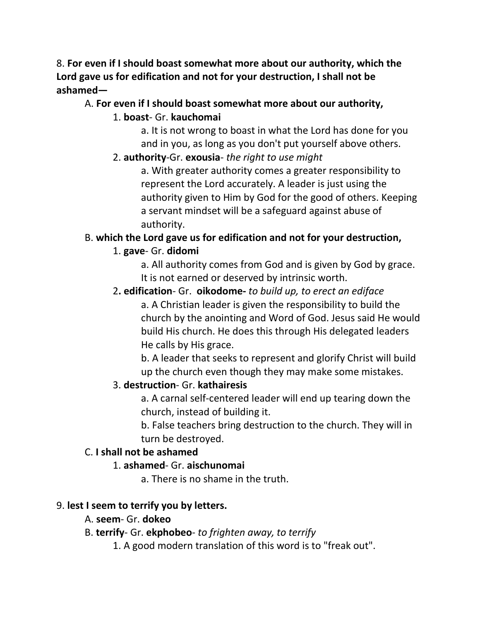8. **For even if I should boast somewhat more about our authority, which the Lord gave us for edification and not for your destruction, I shall not be ashamed—**

#### A. **For even if I should boast somewhat more about our authority,**

## 1. **boast**- Gr. **kauchomai**

a. It is not wrong to boast in what the Lord has done for you and in you, as long as you don't put yourself above others.

# 2. **authority**-Gr. **exousia**- *the right to use might*

a. With greater authority comes a greater responsibility to represent the Lord accurately. A leader is just using the authority given to Him by God for the good of others. Keeping a servant mindset will be a safeguard against abuse of authority.

# B. **which the Lord gave us for edification and not for your destruction,**

# 1. **gave**- Gr. **didomi**

a. All authority comes from God and is given by God by grace. It is not earned or deserved by intrinsic worth.

# 2**. edification**- Gr. **oikodome-** *to build up, to erect an ediface*

a. A Christian leader is given the responsibility to build the church by the anointing and Word of God. Jesus said He would build His church. He does this through His delegated leaders He calls by His grace.

b. A leader that seeks to represent and glorify Christ will build up the church even though they may make some mistakes.

## 3. **destruction**- Gr. **kathairesis**

a. A carnal self-centered leader will end up tearing down the church, instead of building it.

b. False teachers bring destruction to the church. They will in turn be destroyed.

## C. **I shall not be ashamed**

## 1. **ashamed**- Gr. **aischunomai**

a. There is no shame in the truth.

## 9. **lest I seem to terrify you by letters.**

A. **seem**- Gr. **dokeo**

## B. **terrify**- Gr. **ekphobeo**- *to frighten away, to terrify*

1. A good modern translation of this word is to "freak out".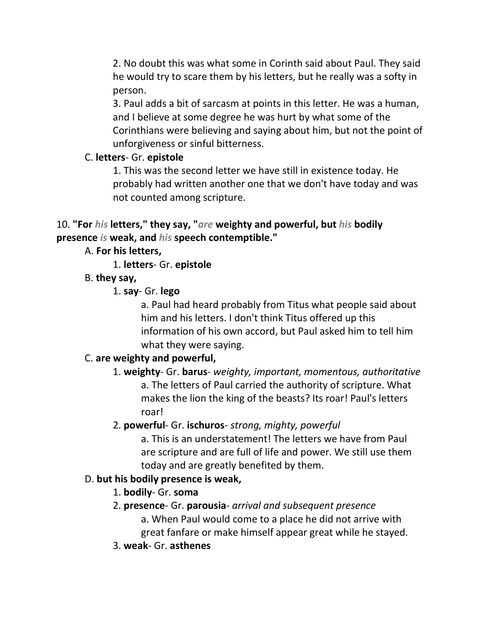2. No doubt this was what some in Corinth said about Paul. They said he would try to scare them by his letters, but he really was a softy in person.

3. Paul adds a bit of sarcasm at points in this letter. He was a human, and I believe at some degree he was hurt by what some of the Corinthians were believing and saying about him, but not the point of unforgiveness or sinful bitterness.

#### C. **letters**- Gr. **epistole**

1. This was the second letter we have still in existence today. He probably had written another one that we don't have today and was not counted among scripture.

10. **"For** *his* **letters," they say, "***are* **weighty and powerful, but** *his* **bodily presence** *is* **weak, and** *his* **speech contemptible."** 

## A. **For his letters,**

1. **letters**- Gr. **epistole**

#### B. **they say,**

1. **say**- Gr. **lego**

a. Paul had heard probably from Titus what people said about him and his letters. I don't think Titus offered up this information of his own accord, but Paul asked him to tell him what they were saying.

## C. **are weighty and powerful,**

1. **weighty**- Gr. **barus**- *weighty, important, momentous, authoritative* a. The letters of Paul carried the authority of scripture. What makes the lion the king of the beasts? Its roar! Paul's letters roar!

#### 2. **powerful**- Gr. **ischuros**- *strong, mighty, powerful*

a. This is an understatement! The letters we have from Paul are scripture and are full of life and power. We still use them today and are greatly benefited by them.

#### D. **but his bodily presence is weak,**

## 1. **bodily**- Gr. **soma**

- 2. **presence** Gr. **parousia** *arrival and subsequent presence*
	- a. When Paul would come to a place he did not arrive with great fanfare or make himself appear great while he stayed.
- 3. **weak** Gr. **asthenes**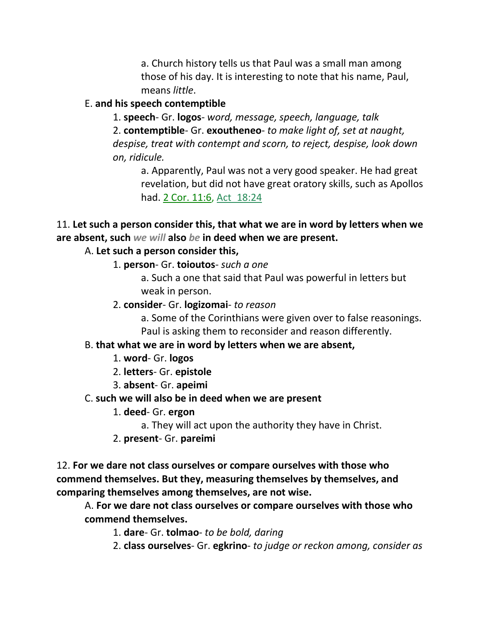a. Church history tells us that Paul was a small man among those of his day. It is interesting to note that his name, Paul, means *little*.

#### E. **and his speech contemptible**

1. **speech**- Gr. **logos**- *word, message, speech, language, talk* 2. **contemptible**- Gr. **exoutheneo**- *to make light of, set at naught, despise, treat with contempt and scorn, to reject, despise, look down on, ridicule.*

a. Apparently, Paul was not a very good speaker. He had great revelation, but did not have great oratory skills, such as Apollos had. 2 Cor. 11:6, Act 18:24

11. **Let such a person consider this, that what we are in word by letters when we are absent, such** *we will* **also** *be* **in deed when we are present.** 

#### A. **Let such a person consider this,**

1. **person**- Gr. **toioutos**- *such a one*

a. Such a one that said that Paul was powerful in letters but weak in person.

2. **consider**- Gr. **logizomai**- *to reason*

a. Some of the Corinthians were given over to false reasonings. Paul is asking them to reconsider and reason differently.

#### B. **that what we are in word by letters when we are absent,**

- 1. **word** Gr. **logos**
- 2. **letters** Gr. **epistole**
- 3. **absent** Gr. **apeimi**

#### C. **such we will also be in deed when we are present**

- 1. **deed** Gr. **ergon**
	- a. They will act upon the authority they have in Christ.
- 2. **present** Gr. **pareimi**

12. **For we dare not class ourselves or compare ourselves with those who commend themselves. But they, measuring themselves by themselves, and comparing themselves among themselves, are not wise.**

A. **For we dare not class ourselves or compare ourselves with those who commend themselves.**

1. **dare**- Gr. **tolmao**- *to be bold, daring*

2. **class ourselves**- Gr. **egkrino**- *to judge or reckon among, consider as*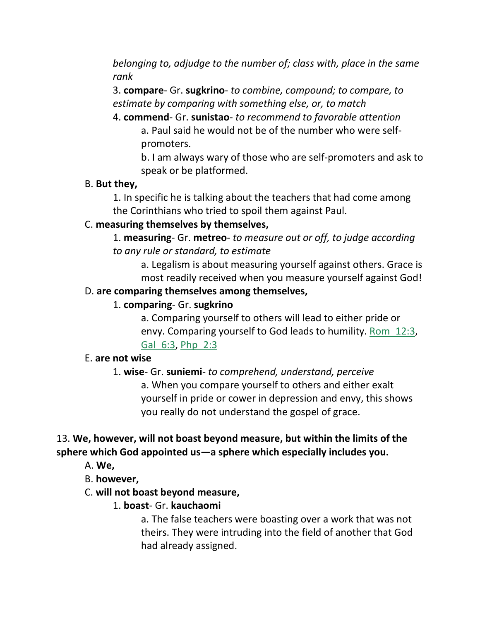*belonging to, adjudge to the number of; class with, place in the same rank*

3. **compare**- Gr. **sugkrino**- *to combine, compound; to compare, to estimate by comparing with something else, or, to match*

4. **commend**- Gr. **sunistao**- *to recommend to favorable attention* a. Paul said he would not be of the number who were selfpromoters.

b. I am always wary of those who are self-promoters and ask to speak or be platformed.

#### B. **But they,**

1. In specific he is talking about the teachers that had come among the Corinthians who tried to spoil them against Paul.

## C. **measuring themselves by themselves,**

1. **measuring**- Gr. **metreo**- *to measure out or off, to judge according to any rule or standard, to estimate*

a. Legalism is about measuring yourself against others. Grace is most readily received when you measure yourself against God!

## D. **are comparing themselves among themselves,**

## 1. **comparing**- Gr. **sugkrino**

a. Comparing yourself to others will lead to either pride or envy. Comparing yourself to God leads to humility. Rom\_12:3, Gal\_6:3, Php\_2:3

## E. **are not wise**

## 1. **wise**- Gr. **suniemi**- *to comprehend, understand, perceive* a. When you compare yourself to others and either exalt yourself in pride or cower in depression and envy, this shows you really do not understand the gospel of grace.

# 13. **We, however, will not boast beyond measure, but within the limits of the sphere which God appointed us—a sphere which especially includes you.**

- A. **We,**
- B. **however,**
- C. **will not boast beyond measure,**
	- 1. **boast** Gr. **kauchaomi**

a. The false teachers were boasting over a work that was not theirs. They were intruding into the field of another that God had already assigned.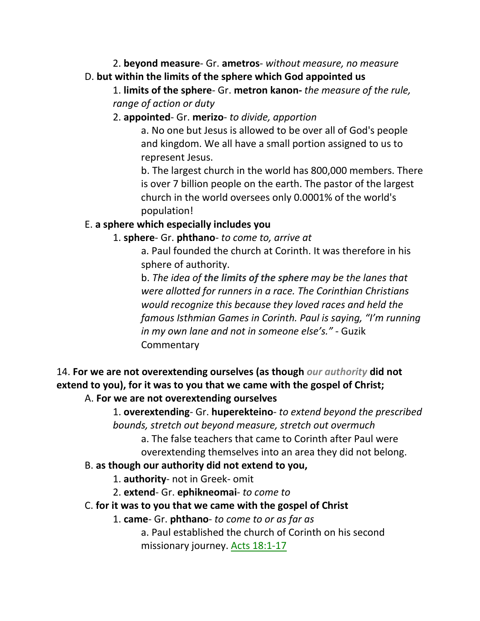2. **beyond measure**- Gr. **ametros**- *without measure, no measure* D. **but within the limits of the sphere which God appointed us**

1. **limits of the sphere**- Gr. **metron kanon-** *the measure of the rule, range of action or duty*

2. **appointed**- Gr. **merizo**- *to divide, apportion*

a. No one but Jesus is allowed to be over all of God's people and kingdom. We all have a small portion assigned to us to represent Jesus.

b. The largest church in the world has 800,000 members. There is over 7 billion people on the earth. The pastor of the largest church in the world oversees only 0.0001% of the world's population!

## E. **a sphere which especially includes you**

## 1. **sphere**- Gr. **phthano**- *to come to, arrive at*

a. Paul founded the church at Corinth. It was therefore in his sphere of authority.

b. *The idea of the limits of the sphere may be the lanes that were allotted for runners in a race. The Corinthian Christians would recognize this because they loved races and held the famous Isthmian Games in Corinth. Paul is saying, "I'm running in my own lane and not in someone else's."* - Guzik **Commentary** 

14. **For we are not overextending ourselves (as though** *our authority* **did not extend to you), for it was to you that we came with the gospel of Christ;**  A. **For we are not overextending ourselves**

> 1. **overextending**- Gr. **huperekteino**- *to extend beyond the prescribed bounds, stretch out beyond measure, stretch out overmuch*

a. The false teachers that came to Corinth after Paul were

overextending themselves into an area they did not belong.

## B. **as though our authority did not extend to you,**

1. **authority**- not in Greek- omit

2. **extend**- Gr. **ephikneomai**- *to come to*

C. **for it was to you that we came with the gospel of Christ**

1. **came**- Gr. **phthano**- *to come to or as far as*

a. Paul established the church of Corinth on his second missionary journey. Acts 18:1-17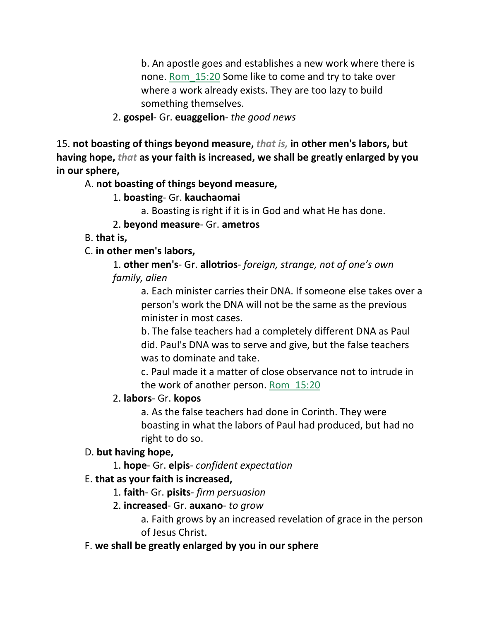b. An apostle goes and establishes a new work where there is none. Rom\_15:20 Some like to come and try to take over where a work already exists. They are too lazy to build something themselves.

#### 2. **gospel**- Gr. **euaggelion**- *the good news*

15. **not boasting of things beyond measure,** *that is,* **in other men's labors, but having hope,** *that* **as your faith is increased, we shall be greatly enlarged by you in our sphere,**

#### A. **not boasting of things beyond measure,**

## 1. **boasting**- Gr. **kauchaomai**

a. Boasting is right if it is in God and what He has done.

#### 2. **beyond measure**- Gr. **ametros**

#### B. **that is,**

## C. **in other men's labors,**

1. **other men's**- Gr. **allotrios**- *foreign, strange, not of one's own family, alien*

> a. Each minister carries their DNA. If someone else takes over a person's work the DNA will not be the same as the previous minister in most cases.

b. The false teachers had a completely different DNA as Paul did. Paul's DNA was to serve and give, but the false teachers was to dominate and take.

c. Paul made it a matter of close observance not to intrude in the work of another person. Rom 15:20

## 2. **labors**- Gr. **kopos**

a. As the false teachers had done in Corinth. They were boasting in what the labors of Paul had produced, but had no right to do so.

#### D. **but having hope,**

1. **hope**- Gr. **elpis**- *confident expectation*

## E. **that as your faith is increased,**

- 1. **faith** Gr. **pisits** *firm persuasion*
- 2. **increased** Gr. **auxano** *to grow*
	- a. Faith grows by an increased revelation of grace in the person of Jesus Christ.
- F. **we shall be greatly enlarged by you in our sphere**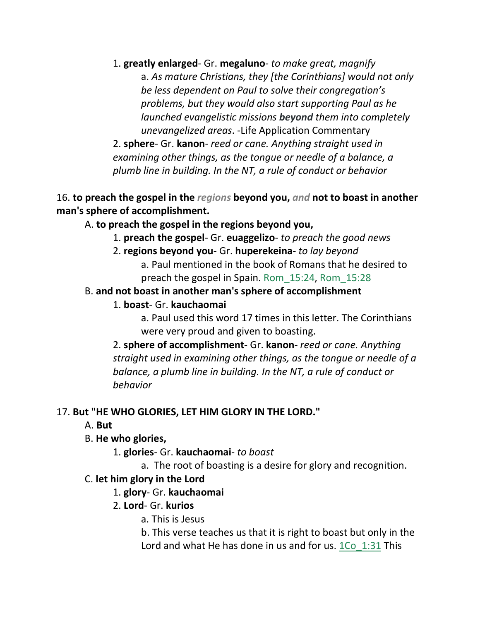1. **greatly enlarged**- Gr. **megaluno**- *to make great, magnify* a. *As mature Christians, they [the Corinthians] would not only be less dependent on Paul to solve their congregation's problems, but they would also start supporting Paul as he launched evangelistic missions beyond them into completely unevangelized areas*. -Life Application Commentary

2. **sphere**- Gr. **kanon**- *reed or cane. Anything straight used in examining other things, as the tongue or needle of a balance, a plumb line in building. In the NT, a rule of conduct or behavior*

16. **to preach the gospel in the** *regions* **beyond you,** *and* **not to boast in another man's sphere of accomplishment.** 

A. **to preach the gospel in the regions beyond you,**

- 1. **preach the gospel** Gr. **euaggelizo** *to preach the good news*
- 2. **regions beyond you** Gr. **huperekeina** *to lay beyond* 
	- a. Paul mentioned in the book of Romans that he desired to preach the gospel in Spain. Rom\_15:24, Rom\_15:28

## B. **and not boast in another man's sphere of accomplishment**

## 1. **boast**- Gr. **kauchaomai**

a. Paul used this word 17 times in this letter. The Corinthians were very proud and given to boasting.

2. **sphere of accomplishment**- Gr. **kanon**- *reed or cane. Anything straight used in examining other things, as the tongue or needle of a balance, a plumb line in building. In the NT, a rule of conduct or behavior*

## 17. **But "HE WHO GLORIES, LET HIM GLORY IN THE LORD."**

A. **But**

## B. **He who glories,**

- 1. **glories** Gr. **kauchaomai** *to boast*
	- a. The root of boasting is a desire for glory and recognition.

## C. **let him glory in the Lord**

## 1. **glory**- Gr. **kauchaomai**

## 2. **Lord**- Gr. **kurios**

- a. This is Jesus
- b. This verse teaches us that it is right to boast but only in the Lord and what He has done in us and for us. 1Co 1:31 This